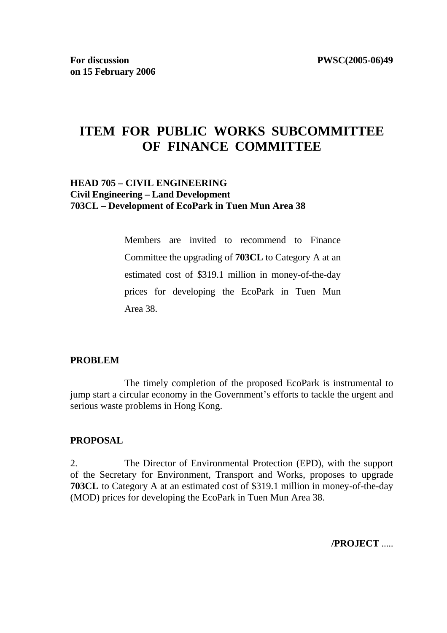# **ITEM FOR PUBLIC WORKS SUBCOMMITTEE OF FINANCE COMMITTEE**

## **HEAD 705 – CIVIL ENGINEERING Civil Engineering – Land Development 703CL – Development of EcoPark in Tuen Mun Area 38**

 Members are invited to recommend to Finance Committee the upgrading of **703CL** to Category A at an estimated cost of \$319.1 million in money-of-the-day prices for developing the EcoPark in Tuen Mun Area 38.

#### **PROBLEM**

 The timely completion of the proposed EcoPark is instrumental to jump start a circular economy in the Government's efforts to tackle the urgent and serious waste problems in Hong Kong.

#### **PROPOSAL**

2. The Director of Environmental Protection (EPD), with the support of the Secretary for Environment, Transport and Works, proposes to upgrade **703CL** to Category A at an estimated cost of \$319.1 million in money-of-the-day (MOD) prices for developing the EcoPark in Tuen Mun Area 38.

**/PROJECT** .....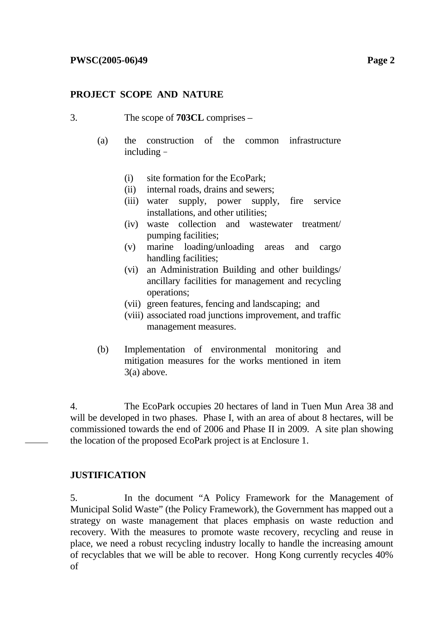#### **PROJECT SCOPE AND NATURE**

- 3. The scope of **703CL** comprises
	- (a) the construction of the common infrastructure including–
		- (i) site formation for the EcoPark;
		- (ii) internal roads, drains and sewers;
		- (iii) water supply, power supply, fire service installations, and other utilities;
		- (iv) waste collection and wastewater treatment/ pumping facilities;
		- (v) marine loading/unloading areas and cargo handling facilities;
		- (vi) an Administration Building and other buildings/ ancillary facilities for management and recycling operations;
		- (vii) green features, fencing and landscaping; and
		- (viii) associated road junctions improvement, and traffic management measures.
	- (b) Implementation of environmental monitoring and mitigation measures for the works mentioned in item 3(a) above.

4. The EcoPark occupies 20 hectares of land in Tuen Mun Area 38 and will be developed in two phases. Phase I, with an area of about 8 hectares, will be commissioned towards the end of 2006 and Phase II in 2009. A site plan showing the location of the proposed EcoPark project is at Enclosure 1.

#### **JUSTIFICATION**

5. In the document "A Policy Framework for the Management of Municipal Solid Waste" (the Policy Framework), the Government has mapped out a strategy on waste management that places emphasis on waste reduction and recovery. With the measures to promote waste recovery, recycling and reuse in place, we need a robust recycling industry locally to handle the increasing amount of recyclables that we will be able to recover. Hong Kong currently recycles 40% of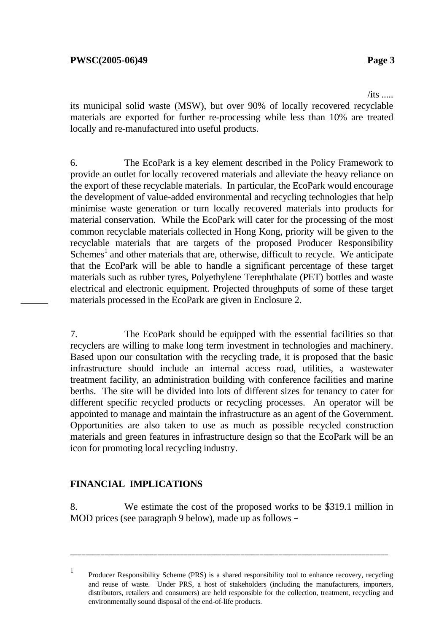$/its$  .....

its municipal solid waste (MSW), but over 90% of locally recovered recyclable materials are exported for further re-processing while less than 10% are treated locally and re-manufactured into useful products.

6. The EcoPark is a key element described in the Policy Framework to provide an outlet for locally recovered materials and alleviate the heavy reliance on the export of these recyclable materials. In particular, the EcoPark would encourage the development of value-added environmental and recycling technologies that help minimise waste generation or turn locally recovered materials into products for material conservation. While the EcoPark will cater for the processing of the most common recyclable materials collected in Hong Kong, priority will be given to the recyclable materials that are targets of the proposed Producer Responsibility Schemes<sup>1</sup> and other materials that are, otherwise, difficult to recycle. We anticipate that the EcoPark will be able to handle a significant percentage of these target materials such as rubber tyres, Polyethylene Terephthalate (PET) bottles and waste electrical and electronic equipment. Projected throughputs of some of these target materials processed in the EcoPark are given in Enclosure 2.

7. The EcoPark should be equipped with the essential facilities so that recyclers are willing to make long term investment in technologies and machinery. Based upon our consultation with the recycling trade, it is proposed that the basic infrastructure should include an internal access road, utilities, a wastewater treatment facility, an administration building with conference facilities and marine berths. The site will be divided into lots of different sizes for tenancy to cater for different specific recycled products or recycling processes. An operator will be appointed to manage and maintain the infrastructure as an agent of the Government. Opportunities are also taken to use as much as possible recycled construction materials and green features in infrastructure design so that the EcoPark will be an icon for promoting local recycling industry.

## **FINANCIAL IMPLICATIONS**

8. We estimate the cost of the proposed works to be \$319.1 million in MOD prices (see paragraph 9 below), made up as follows –

\_\_\_\_\_\_\_\_\_\_\_\_\_\_\_\_\_\_\_\_\_\_\_\_\_\_\_\_\_\_\_\_\_\_\_\_\_\_\_\_\_\_\_\_\_\_\_\_\_\_\_\_\_\_\_\_\_\_\_\_\_\_\_\_\_\_\_\_\_\_\_\_\_\_\_\_\_\_\_\_\_\_\_\_

<sup>1</sup> Producer Responsibility Scheme (PRS) is a shared responsibility tool to enhance recovery, recycling and reuse of waste. Under PRS, a host of stakeholders (including the manufacturers, importers, distributors, retailers and consumers) are held responsible for the collection, treatment, recycling and environmentally sound disposal of the end-of-life products.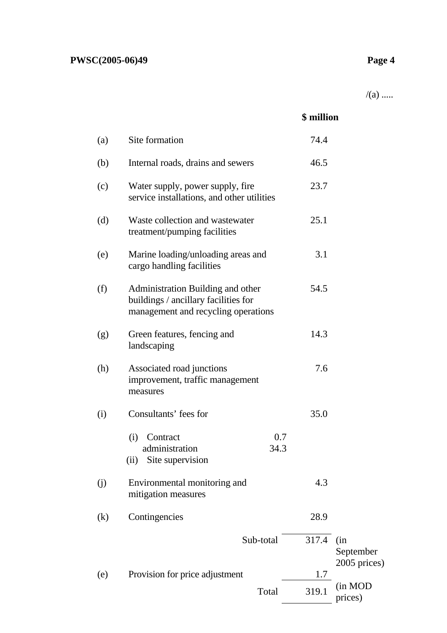$/(a)$  .....

|     |                                                                                                                  | \$ million   |                                  |
|-----|------------------------------------------------------------------------------------------------------------------|--------------|----------------------------------|
| (a) | Site formation                                                                                                   | 74.4         |                                  |
| (b) | Internal roads, drains and sewers                                                                                | 46.5         |                                  |
| (c) | Water supply, power supply, fire<br>service installations, and other utilities                                   | 23.7         |                                  |
| (d) | Waste collection and wastewater<br>treatment/pumping facilities                                                  | 25.1         |                                  |
| (e) | Marine loading/unloading areas and<br>cargo handling facilities                                                  | 3.1          |                                  |
| (f) | Administration Building and other<br>buildings / ancillary facilities for<br>management and recycling operations | 54.5         |                                  |
| (g) | Green features, fencing and<br>landscaping                                                                       | 14.3         |                                  |
| (h) | Associated road junctions<br>improvement, traffic management<br>measures                                         | 7.6          |                                  |
| (i) | Consultants' fees for                                                                                            | 35.0         |                                  |
|     | 0.7<br>(i)<br>Contract<br>34.3<br>administration<br>Site supervision<br>(ii)                                     |              |                                  |
| (j) | Environmental monitoring and<br>mitigation measures                                                              | 4.3          |                                  |
| (k) | Contingencies                                                                                                    | 28.9         |                                  |
|     | Sub-total                                                                                                        | 317.4        | (in<br>September<br>2005 prices) |
| (e) | Provision for price adjustment<br>Total                                                                          | 1.7<br>319.1 | (in MOD                          |
|     |                                                                                                                  |              | prices)                          |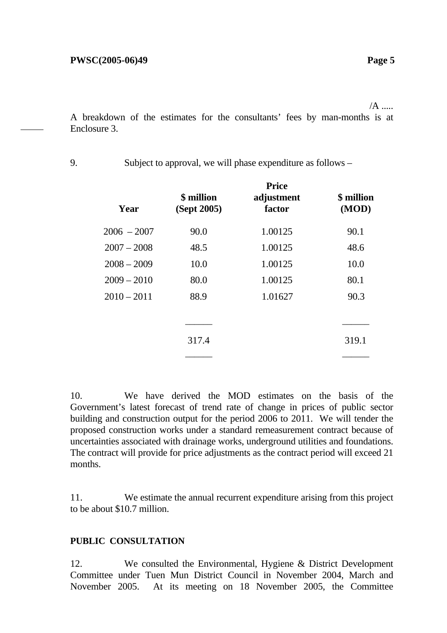/A .....

A breakdown of the estimates for the consultants' fees by man-months is at Enclosure 3.

| Year          | \$ million<br>(Sept 2005) | <b>Price</b><br>adjustment<br>factor | \$ million<br>(MOD) |
|---------------|---------------------------|--------------------------------------|---------------------|
| $2006 - 2007$ | 90.0                      | 1.00125                              | 90.1                |
| $2007 - 2008$ | 48.5                      | 1.00125                              | 48.6                |
| $2008 - 2009$ | 10.0                      | 1.00125                              | 10.0                |
| $2009 - 2010$ | 80.0                      | 1.00125                              | 80.1                |
| $2010 - 2011$ | 88.9                      | 1.01627                              | 90.3                |
|               |                           |                                      |                     |
|               |                           |                                      |                     |
|               | 317.4                     |                                      | 319.1               |
|               |                           |                                      |                     |

9. Subject to approval, we will phase expenditure as follows –

10. We have derived the MOD estimates on the basis of the Government's latest forecast of trend rate of change in prices of public sector building and construction output for the period 2006 to 2011. We will tender the proposed construction works under a standard remeasurement contract because of uncertainties associated with drainage works, underground utilities and foundations. The contract will provide for price adjustments as the contract period will exceed 21 months.

11. We estimate the annual recurrent expenditure arising from this project to be about \$10.7 million.

#### **PUBLIC CONSULTATION**

12. We consulted the Environmental, Hygiene & District Development Committee under Tuen Mun District Council in November 2004, March and November 2005. At its meeting on 18 November 2005, the Committee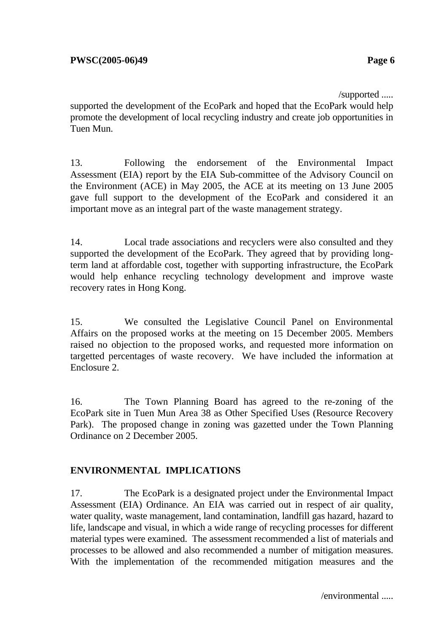/supported .....

supported the development of the EcoPark and hoped that the EcoPark would help promote the development of local recycling industry and create job opportunities in Tuen Mun.

13. Following the endorsement of the Environmental Impact Assessment (EIA) report by the EIA Sub-committee of the Advisory Council on the Environment (ACE) in May 2005, the ACE at its meeting on 13 June 2005 gave full support to the development of the EcoPark and considered it an important move as an integral part of the waste management strategy.

14. Local trade associations and recyclers were also consulted and they supported the development of the EcoPark. They agreed that by providing longterm land at affordable cost, together with supporting infrastructure, the EcoPark would help enhance recycling technology development and improve waste recovery rates in Hong Kong.

15. We consulted the Legislative Council Panel on Environmental Affairs on the proposed works at the meeting on 15 December 2005. Members raised no objection to the proposed works, and requested more information on targetted percentages of waste recovery. We have included the information at Enclosure 2.

16. The Town Planning Board has agreed to the re-zoning of the EcoPark site in Tuen Mun Area 38 as Other Specified Uses (Resource Recovery Park). The proposed change in zoning was gazetted under the Town Planning Ordinance on 2 December 2005.

## **ENVIRONMENTAL IMPLICATIONS**

17. The EcoPark is a designated project under the Environmental Impact Assessment (EIA) Ordinance. An EIA was carried out in respect of air quality, water quality, waste management, land contamination, landfill gas hazard, hazard to life, landscape and visual, in which a wide range of recycling processes for different material types were examined. The assessment recommended a list of materials and processes to be allowed and also recommended a number of mitigation measures. With the implementation of the recommended mitigation measures and the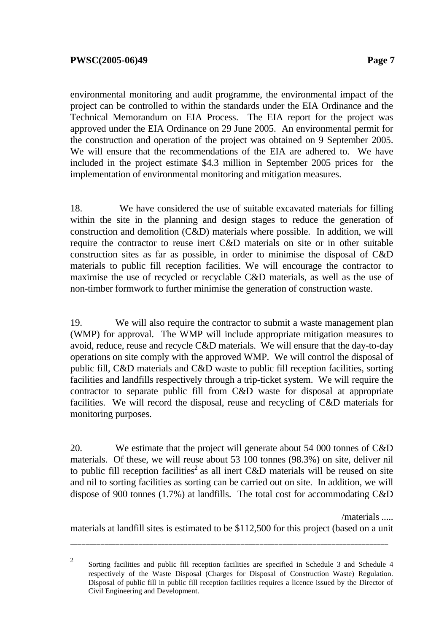environmental monitoring and audit programme, the environmental impact of the project can be controlled to within the standards under the EIA Ordinance and the Technical Memorandum on EIA Process. The EIA report for the project was approved under the EIA Ordinance on 29 June 2005. An environmental permit for the construction and operation of the project was obtained on 9 September 2005. We will ensure that the recommendations of the EIA are adhered to. We have included in the project estimate \$4.3 million in September 2005 prices for the implementation of environmental monitoring and mitigation measures.

18. We have considered the use of suitable excavated materials for filling within the site in the planning and design stages to reduce the generation of construction and demolition (C&D) materials where possible. In addition, we will require the contractor to reuse inert C&D materials on site or in other suitable construction sites as far as possible, in order to minimise the disposal of C&D materials to public fill reception facilities. We will encourage the contractor to maximise the use of recycled or recyclable C&D materials, as well as the use of non-timber formwork to further minimise the generation of construction waste.

19. We will also require the contractor to submit a waste management plan (WMP) for approval. The WMP will include appropriate mitigation measures to avoid, reduce, reuse and recycle C&D materials. We will ensure that the day-to-day operations on site comply with the approved WMP. We will control the disposal of public fill, C&D materials and C&D waste to public fill reception facilities, sorting facilities and landfills respectively through a trip-ticket system. We will require the contractor to separate public fill from C&D waste for disposal at appropriate facilities. We will record the disposal, reuse and recycling of C&D materials for monitoring purposes.

20. We estimate that the project will generate about 54 000 tonnes of C&D materials. Of these, we will reuse about 53 100 tonnes (98.3%) on site, deliver nil to public fill reception facilities<sup>2</sup> as all inert C&D materials will be reused on site and nil to sorting facilities as sorting can be carried out on site. In addition, we will dispose of 900 tonnes (1.7%) at landfills. The total cost for accommodating C&D

/materials .....

materials at landfill sites is estimated to be \$112,500 for this project (based on a unit

2 Sorting facilities and public fill reception facilities are specified in Schedule 3 and Schedule 4 respectively of the Waste Disposal (Charges for Disposal of Construction Waste) Regulation. Disposal of public fill in public fill reception facilities requires a licence issued by the Director of Civil Engineering and Development.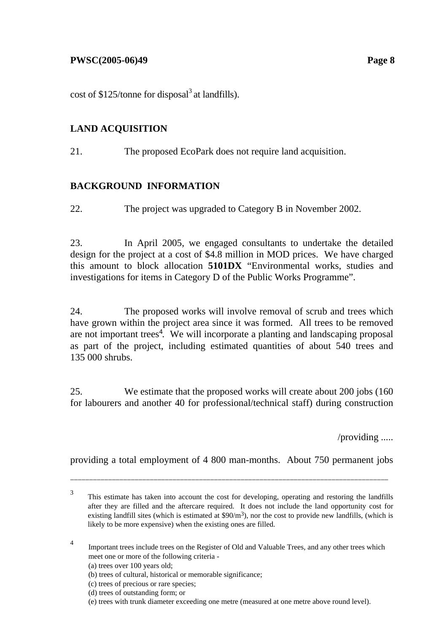cost of  $$125$ /tonne for disposal<sup>3</sup> at landfills).

## **LAND ACQUISITION**

21. The proposed EcoPark does not require land acquisition.

## **BACKGROUND INFORMATION**

22. The project was upgraded to Category B in November 2002.

23. In April 2005, we engaged consultants to undertake the detailed design for the project at a cost of \$4.8 million in MOD prices. We have charged this amount to block allocation **5101DX** "Environmental works, studies and investigations for items in Category D of the Public Works Programme".

24. The proposed works will involve removal of scrub and trees which have grown within the project area since it was formed. All trees to be removed are not important trees<sup>4</sup>. We will incorporate a planting and landscaping proposal as part of the project, including estimated quantities of about 540 trees and 135 000 shrubs.

25. We estimate that the proposed works will create about 200 jobs (160 for labourers and another 40 for professional/technical staff) during construction

/providing .....

providing a total employment of 4 800 man-months. About 750 permanent jobs

\_\_\_\_\_\_\_\_\_\_\_\_\_\_\_\_\_\_\_\_\_\_\_\_\_\_\_\_\_\_\_\_\_\_\_\_\_\_\_\_\_\_\_\_\_\_\_\_\_\_\_\_\_\_\_\_\_\_\_\_\_\_\_\_\_\_\_\_\_\_\_\_\_\_\_\_\_\_\_\_\_\_\_\_

<sup>4</sup> Important trees include trees on the Register of Old and Valuable Trees, and any other trees which meet one or more of the following criteria -

(a) trees over 100 years old;

- (b) trees of cultural, historical or memorable significance;
- (c) trees of precious or rare species;
- (d) trees of outstanding form; or
- (e) trees with trunk diameter exceeding one metre (measured at one metre above round level).

<sup>3</sup> This estimate has taken into account the cost for developing, operating and restoring the landfills after they are filled and the aftercare required. It does not include the land opportunity cost for existing landfill sites (which is estimated at  $\frac{90}{m^3}$ ), nor the cost to provide new landfills, (which is likely to be more expensive) when the existing ones are filled.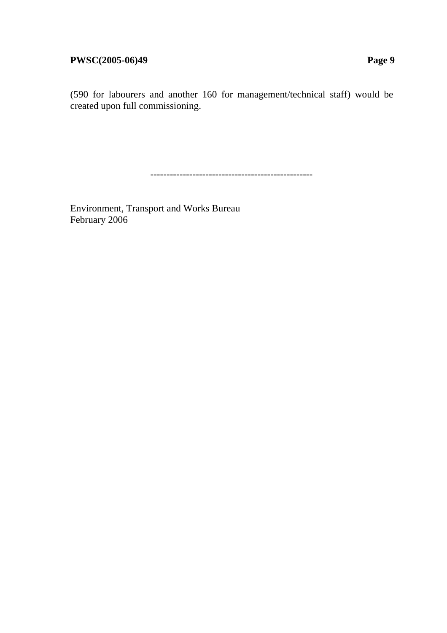(590 for labourers and another 160 for management/technical staff) would be created upon full commissioning.

--------------------------------------------------

Environment, Transport and Works Bureau February 2006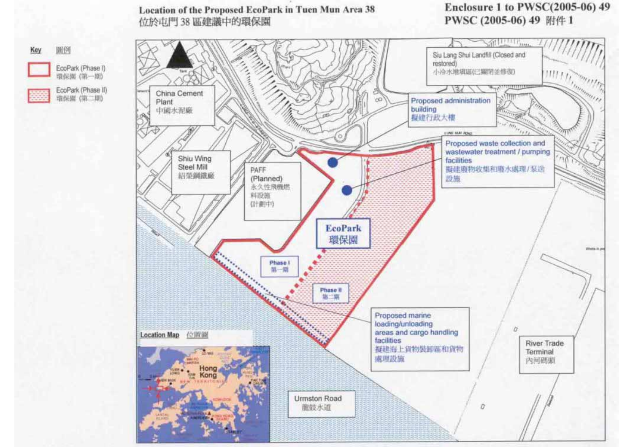## Location of the Proposed EcoPark in Tuen Mun Area 38 位於屯門 38 區建議中的環保園

画例

環保障 (第一期)

環保層 (第二期)

Key

# Enclosure 1 to PWSC(2005-06) 49 PWSC (2005-06) 49 附件 1

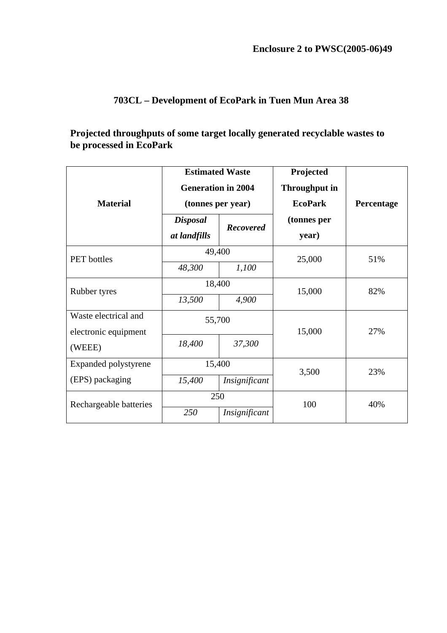# **703CL – Development of EcoPark in Tuen Mun Area 38**

## **Projected throughputs of some target locally generated recyclable wastes to be processed in EcoPark**

| <b>Material</b>        | <b>Estimated Waste</b><br><b>Generation in 2004</b><br>(tonnes per year) |                  | Projected<br><b>Throughput in</b><br><b>EcoPark</b> | Percentage |
|------------------------|--------------------------------------------------------------------------|------------------|-----------------------------------------------------|------------|
|                        | <b>Disposal</b><br>at landfills                                          | <b>Recovered</b> | (tonnes per<br>year)                                |            |
| <b>PET</b> bottles     | 49,400                                                                   |                  | 25,000                                              | 51%        |
|                        | 48,300                                                                   | 1,100            |                                                     |            |
| Rubber tyres           | 18,400                                                                   |                  | 15,000                                              | 82%        |
|                        | 13,500                                                                   | 4,900            |                                                     |            |
| Waste electrical and   | 55,700                                                                   |                  |                                                     |            |
| electronic equipment   |                                                                          |                  | 15,000                                              | 27%        |
| (WEEE)                 | 18,400                                                                   | 37,300           |                                                     |            |
| Expanded polystyrene   | 15,400                                                                   |                  | 3,500                                               | 23%        |
| (EPS) packaging        | 15,400                                                                   | Insignificant    |                                                     |            |
| Rechargeable batteries | 250                                                                      |                  | 100                                                 | 40%        |
|                        | 250                                                                      | Insignificant    |                                                     |            |